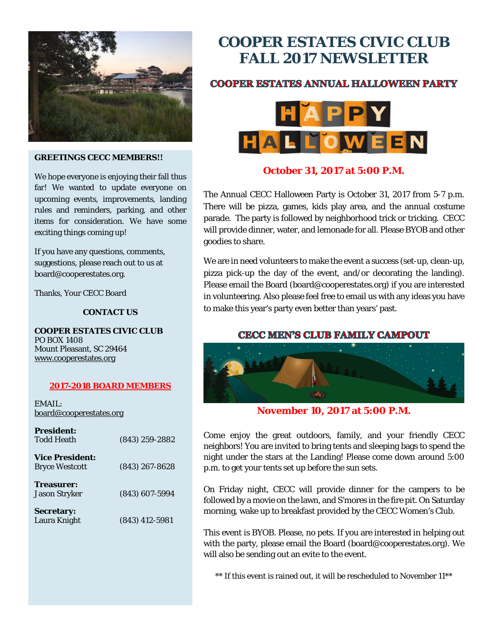

#### **GREETINGS CECC MEMBERS!!**

We hope everyone is enjoying their fall thus far! We wanted to update everyone on upcoming events, improvements, landing rules and reminders, parking, and other items for consideration. We have some exciting things coming up!

If you have any questions, comments, suggestions, please reach out to us at board@cooperestates.org.

Thanks, Your CECC Board

#### **CONTACT US**

**COOPER ESTATES CIVIC CLUB** PO BOX 1408 Mount Pleasant, SC 29464 [www.cooperestates.org](http://www.cooperestates.org/)

#### **2017-2018 BOARD MEMBERS**

EMAIL: [board@cooperestates.org](mailto:board@cooperestates.org)

| <b>President:</b><br><b>Todd Heath</b> | $(843)$ 259-2882 |
|----------------------------------------|------------------|
| <b>Vice President:</b>                 |                  |
| <b>Bryce Westcott</b>                  | $(843)$ 267-8628 |
| Treasurer:                             |                  |
| <b>Jason Stryker</b>                   | $(843)$ 607-5994 |
| <b>Secretary:</b>                      |                  |
| Laura Knight                           | $(843)$ 412-5981 |

# **COOPER ESTATES CIVIC CLUB FALL 2017 NEWSLETTER**

# **COOPER ESTATES ANNUAL HALLOWEEN PARTY**



# **October 31, 2017 at 5:00 P.M.**

The Annual CECC Halloween Party is October 31, 2017 from 5-7 p.m. There will be pizza, games, kids play area, and the annual costume parade. The party is followed by neighborhood trick or tricking. CECC will provide dinner, water, and lemonade for all. Please BYOB and other goodies to share.

We are in need volunteers to make the event a success (set-up, clean-up, pizza pick-up the day of the event, and/or decorating the landing). Please email the Board (board@cooperestates.org) if you are interested in volunteering. Also please feel free to email us with any ideas you have to make this year's party even better than years' past.

## **CECC MEN'S CLUB FAMILY CAMPOUT**



**November 10, 2017 at 5:00 P.M.**

Come enjoy the great outdoors, family, and your friendly CECC neighbors! You are invited to bring tents and sleeping bags to spend the night under the stars at the Landing! Please come down around 5:00 p.m. to get your tents set up before the sun sets.

On Friday night, CECC will provide dinner for the campers to be followed by a movie on the lawn, and S'mores in the fire pit. On Saturday morning, wake up to breakfast provided by the CECC Women's Club.

This event is BYOB. Please, no pets. If you are interested in helping out with the party, please email the Board (board@cooperestates.org). We will also be sending out an evite to the event.

\*\* If this event is rained out, it will be rescheduled to November 11\*\*